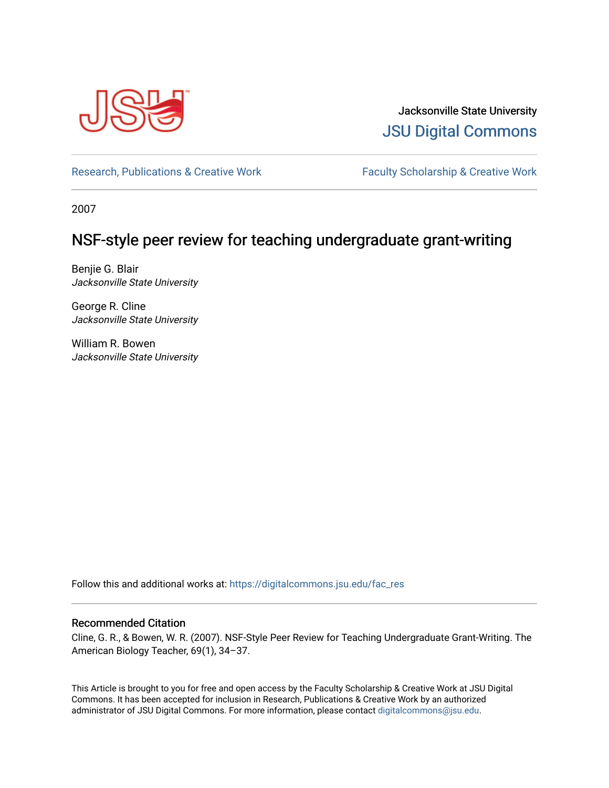

Jacksonville State University [JSU Digital Commons](https://digitalcommons.jsu.edu/) 

[Research, Publications & Creative Work](https://digitalcommons.jsu.edu/fac_res) Faculty Scholarship & Creative Work

2007

# NSF-style peer review for teaching undergraduate grant-writing

Benjie G. Blair Jacksonville State University

George R. Cline Jacksonville State University

William R. Bowen Jacksonville State University

Follow this and additional works at: [https://digitalcommons.jsu.edu/fac\\_res](https://digitalcommons.jsu.edu/fac_res?utm_source=digitalcommons.jsu.edu%2Ffac_res%2F134&utm_medium=PDF&utm_campaign=PDFCoverPages) 

### Recommended Citation

Cline, G. R., & Bowen, W. R. (2007). NSF-Style Peer Review for Teaching Undergraduate Grant-Writing. The American Biology Teacher, 69(1), 34–37.

This Article is brought to you for free and open access by the Faculty Scholarship & Creative Work at JSU Digital Commons. It has been accepted for inclusion in Research, Publications & Creative Work by an authorized administrator of JSU Digital Commons. For more information, please contact [digitalcommons@jsu.edu.](mailto:digitalcommons@jsu.edu)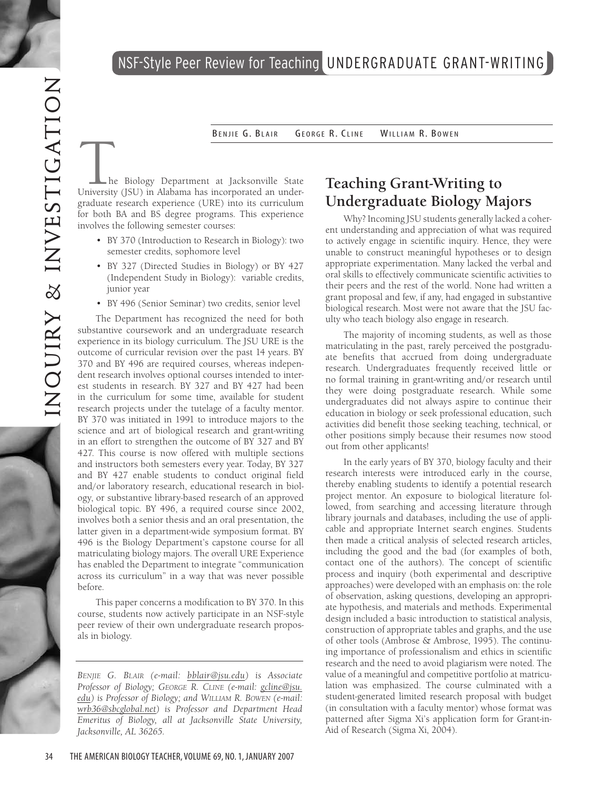

BENJIE G. BLAIR GEORGE R. CLINE WILLI. R. Bowen

The Biology Department at Jacksonville State<br>University (JSU) in Alabama has incorporated an undergraduate research experience (URE) into its curriculum for both BA and BS degree programs . This experience involves the following semester courses: • BY 370 (Introduction to Research in Biology): two

- semester credits, sophomore level
- BY 327 (Directed Studies in Biology) or BY 427 (Independent Study in Biology): variable credits, junior year
- BY 496 (Senior Seminar) two credits, senior level

The Department has recognized the need for both substantive coursework and an undergraduate research experience in its biology curriculum . The JSU URE is the outcome of curricular revision over the past 14 years . BY 370 and BY 496 are required courses, whereas indepen dent research involves optional courses intended to interest students in research. BY 327 and BY 427 had been in the curriculum for some time, available for student research projects under the tutelage of a faculty mentor . BY 370 was initiated in 1991 to introduce majors to the science and art of biological research and grant-writing in an effort to strengthen the outcome of BY 327 and BY 427 . This course is now offered with multiple sections and instructors both semesters every year . Today, BY 327 and BY 427 enable students to conduct original field and/or laboratory research, educational research in biol ogy, or substantive library-based research of an approved biological topic . BY 496, a required course since 2002, involves both a senior thesis and an oral presentation, the latter given in a department-wide symposium format . BY 496 is the Biology Department's capstone course for all matriculating biology majors . The overall URE Experience has enabled the Department to integrate "communication across its curriculum" in a way that was never possible before .

This paper concerns a modification to BY 370 . In this course, students now actively participate in an NSF-style peer review of their own undergraduate research propos als in biology .

*Benjie G. B l air (e-mail: bblair@jsu.ed u) is Associate Professor of Biology; George R. Cline (e-mail: gcline@jsu. edu) is Professor of Biology; and William R. B o wen (e-mail: wrb36@sbcglobal.ne t) is Professor and Department Head Emeritus of Biology, all at Jacksonville State University, Jacksonville, AL 36265.*

# **Teaching Grant-Writing to Undergraduate Biology Majors**

Why? Incoming JSU students generally lacked a coherent understanding and appreciation of what was required to actively engage in scientific inquiry . Hence, they were unable to construct meaningful hypotheses or to design appropriate experimentation . Many lacked the verbal and oral skills to effectively communicate scientific activities to their peers and the rest of the world . None had written a grant proposal and few, if any, had engaged in substantive biological research . Most were not aware that the JSU fac ulty who teach biology also engage in research .

The majority of incoming students, as well as those matriculating in the past, rarely perceived the postgradu ate benefits that accrued from doing undergraduate research . Undergraduates frequently received little or no formal training in grant-writing and/or research until they were doing postgraduate research . While some undergraduates did not always aspire to continue their education in biology or seek professional education, such activities did benefit those seeking teaching, technical, or other positions simply because their resumes now stood out from other applicants!

In the early years of BY 370, biology faculty and their research interests were introduced early in the course, thereby enabling students to identify a potential research project mentor . An exposure to biological literature fol lowed, from searching and accessing literature through library journals and databases, including the use of appli cable and appropriate Internet search engines . Students then made a critical analysis of selected research articles, including the good and the bad (for examples of both, contact one of the authors) . The concept of scientific process and inquiry (both experimental and descriptive approaches) were developed with an emphasis on: the role of observation, asking questions, developing an appropri ate hypothesis, and materials and methods . Experimental design included a basic introduction to statistical analysis, construction of appropriate tables and graphs, and the use of other tools (Ambrose & Ambrose, 1995) . The continu ing importance of professionalism and ethics in scientific research and the need to avoid plagiarism were noted . The value of a meaningful and competitive portfolio at matricu lation was emphasized . The course culminated with a student-generated limited research proposal with budget (in consultation with a faculty mentor) whose format was patterned after Sigma Xi's application form for Grant-in-Aid of Research (Sigma Xi, 2004).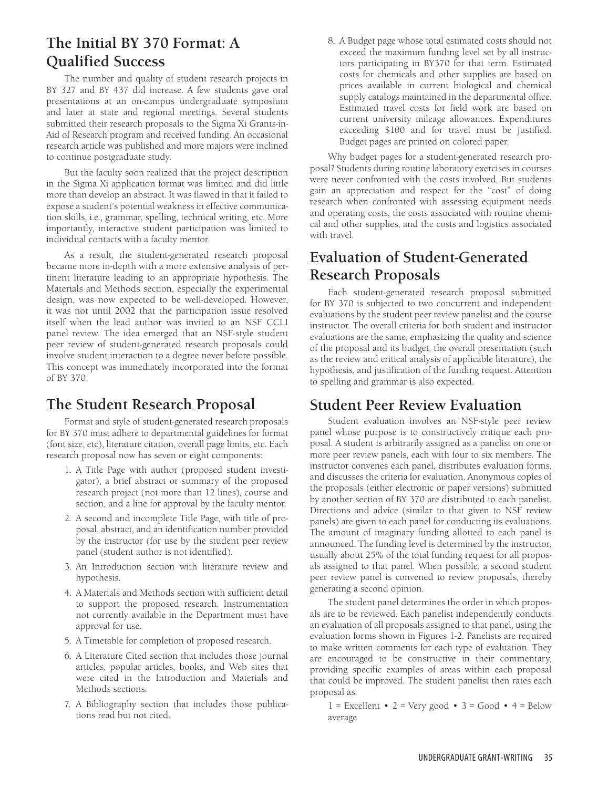# **The Initial BY 370 Format: A Qualified Success**

The number and quality of student research projects in BY 327 and BY 437 did increase. A few students gave oral presentations at an on-campus undergraduate symposium and later at state and regional meetings. Several students submitted their research proposals to the Sigma Xi Grants-in-Aid of Research program and received funding. An occasional research article was published and more majors were inclined to continue postgraduate study.

But the faculty soon realized that the project description in the Sigma Xi application format was limited and did little more than develop an abstract. It was flawed in that it failed to expose a student's potential weakness in effective communication skills, i.e., grammar, spelling, technical writing, etc. More importantly, interactive student participation was limited to individual contacts with a faculty mentor.

As a result, the student-generated research proposal became more in-depth with a more extensive analysis of pertinent literature leading to an appropriate hypothesis. The Materials and Methods section, especially the experimental design, was now expected to be well-developed. However, it was not until 2002 that the participation issue resolved itself when the lead author was invited to an NSF CCLI panel review. The idea emerged that an NSF-style student peer review of student-generated research proposals could involve student interaction to a degree never before possible. This concept was immediately incorporated into the format of BY 370.

### **The Student Research Proposal**

Format and style of student-generated research proposals for BY 370 must adhere to departmental guidelines for format (font size, etc), literature citation, overall page limits, etc. Each research proposal now has seven or eight components:

- 1. A Title Page with author (proposed student investigator), a brief abstract or summary of the proposed research project (not more than 12 lines), course and section, and a line for approval by the faculty mentor.
- 2. A second and incomplete Title Page, with title of proposal, abstract, and an identification number provided by the instructor (for use by the student peer review panel (student author is not identified).
- 3. An Introduction section with literature review and hypothesis.
- 4. A Materials and Methods section with sufficient detail to support the proposed research. Instrumentation not currently available in the Department must have approval for use.
- 5. A Timetable for completion of proposed research.
- 6. A Literature Cited section that includes those journal articles, popular articles, books, and Web sites that were cited in the Introduction and Materials and Methods sections.
- 7. A Bibliography section that includes those publications read but not cited.

8. A Budget page whose total estimated costs should not exceed the maximum funding level set by all instructors participating in BY370 for that term. Estimated costs for chemicals and other supplies are based on prices available in current biological and chemical supply catalogs maintained in the departmental office. Estimated travel costs for field work are based on current university mileage allowances. Expenditures exceeding \$100 and for travel must be justified. Budget pages are printed on colored paper.

Why budget pages for a student-generated research proposal? Students during routine laboratory exercises in courses were never confronted with the costs involved. But students gain an appreciation and respect for the "cost" of doing research when confronted with assessing equipment needs and operating costs, the costs associated with routine chemical and other supplies, and the costs and logistics associated with travel.

# **Evaluation of Student-Generated Research Proposals**

Each student-generated research proposal submitted for BY 370 is subjected to two concurrent and independent evaluations by the student peer review panelist and the course instructor. The overall criteria for both student and instructor evaluations are the same, emphasizing the quality and science of the proposal and its budget, the overall presentation (such as the review and critical analysis of applicable literature), the hypothesis, and justification of the funding request. Attention to spelling and grammar is also expected.

### **Student Peer Review Evaluation**

Student evaluation involves an NSF-style peer review panel whose purpose is to constructively critique each proposal. A student is arbitrarily assigned as a panelist on one or more peer review panels, each with four to six members. The instructor convenes each panel, distributes evaluation forms, and discusses the criteria for evaluation. Anonymous copies of the proposals (either electronic or paper versions) submitted by another section of BY 370 are distributed to each panelist. Directions and advice (similar to that given to NSF review panels) are given to each panel for conducting its evaluations. The amount of imaginary funding allotted to each panel is announced. The funding level is determined by the instructor, usually about 25% of the total funding request for all proposals assigned to that panel. When possible, a second student peer review panel is convened to review proposals, thereby generating a second opinion.

The student panel determines the order in which proposals are to be reviewed. Each panelist independently conducts an evaluation of all proposals assigned to that panel, using the evaluation forms shown in Figures 1-2. Panelists are required to make written comments for each type of evaluation. They are encouraged to be constructive in their commentary, providing specific examples of areas within each proposal that could be improved. The student panelist then rates each proposal as:

 $1 =$  Excellent • 2 = Very good • 3 = Good • 4 = Below average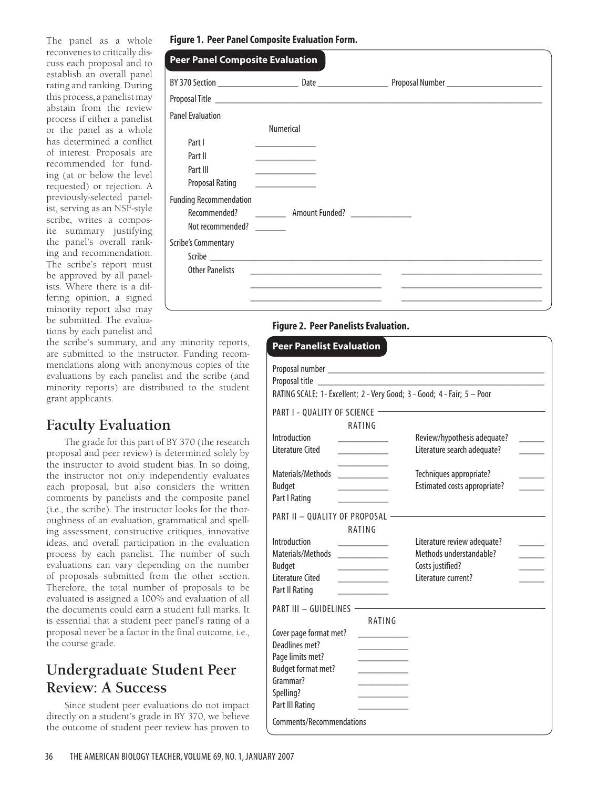The panel as a whole reconvenes to critically discuss each proposal and to establish an overall panel rating and ranking. During this process, a panelist may abstain from the review process if either a panelist or the panel as a whole has determined a conflict of interest. Proposals are recommended for funding (at or below the level requested) or rejection. A previously-selected panelist, serving as an NSF-style scribe, writes a composite summary justifying the panel's overall ranking and recommendation. The scribe's report must be approved by all panelists. Where there is a differing opinion, a signed minority report also may be submitted. The evaluations by each panelist and

| <b>Peer Panel Composite Evaluation</b> |                                                                                                                                                                                                                               |  |
|----------------------------------------|-------------------------------------------------------------------------------------------------------------------------------------------------------------------------------------------------------------------------------|--|
|                                        |                                                                                                                                                                                                                               |  |
|                                        |                                                                                                                                                                                                                               |  |
| <b>Panel Evaluation</b>                |                                                                                                                                                                                                                               |  |
|                                        | <b>Numerical</b>                                                                                                                                                                                                              |  |
| Part I                                 | <u> 1980 - Johann Barn, mars et al.</u>                                                                                                                                                                                       |  |
| Part II                                | <u> 1980 - Johann Barbara, martin da basar</u>                                                                                                                                                                                |  |
| Part III                               | <u> Alexandria de la contenentación de la contenentación de la contenentación de la contenentación de la contene</u>                                                                                                          |  |
| <b>Proposal Rating</b>                 | <u> 1989 - Alexandria Alexandria III.</u>                                                                                                                                                                                     |  |
| <b>Funding Recommendation</b>          |                                                                                                                                                                                                                               |  |
| Recommended?                           | <b>Amount Funded?</b> ______________                                                                                                                                                                                          |  |
| Not recommended?                       |                                                                                                                                                                                                                               |  |
| <b>Scribe's Commentary</b>             |                                                                                                                                                                                                                               |  |
|                                        |                                                                                                                                                                                                                               |  |
| <b>Other Panelists</b>                 | the control of the control of the control of the control of the control of the control of the control of the control of the control of the control of the control of the control of the control of the control of the control |  |

### **Figure 2. Peer Panelists Evaluation.**

| <b>Peer Panelist Evaluation</b>                                                                                                                                                                                                                                                                                                                                                                                                                                                                                                                                                            |                                                                                                   |  |  |
|--------------------------------------------------------------------------------------------------------------------------------------------------------------------------------------------------------------------------------------------------------------------------------------------------------------------------------------------------------------------------------------------------------------------------------------------------------------------------------------------------------------------------------------------------------------------------------------------|---------------------------------------------------------------------------------------------------|--|--|
| Proposal title<br><u> 1980 - Jan Samuel Barbara, prima popula</u><br>RATING SCALE: 1- Excellent; 2 - Very Good; 3 - Good; 4 - Fair; 5 - Poor                                                                                                                                                                                                                                                                                                                                                                                                                                               |                                                                                                   |  |  |
| PART I - QUALITY OF SCIENCE -<br>RATING                                                                                                                                                                                                                                                                                                                                                                                                                                                                                                                                                    |                                                                                                   |  |  |
| Introduction<br>Literature Cited<br><u> Liberatura de la c</u>                                                                                                                                                                                                                                                                                                                                                                                                                                                                                                                             | Review/hypothesis adequate?<br>$\sim 10^{11}$<br>Literature search adequate?                      |  |  |
| Materials/Methods<br><u> a shekara ta 1999 a shekara ta 1999 a shekara ta 1999 a shekara ta 1999 a shekara ta 1999 a shekara ta 1999 a </u><br><b>Budget</b><br><u> 1989 - Johann Barbara, martin basa</u><br>Part I Rating                                                                                                                                                                                                                                                                                                                                                                | Techniques appropriate?<br>Estimated costs appropriate?                                           |  |  |
| PART II - QUALITY OF PROPOSAL -<br>RATING                                                                                                                                                                                                                                                                                                                                                                                                                                                                                                                                                  |                                                                                                   |  |  |
| Introduction<br>Materials/Methods<br>$\begin{array}{cccccccccc} \hline \textbf{1} & \textbf{1} & \textbf{1} & \textbf{1} & \textbf{1} & \textbf{1} & \textbf{1} & \textbf{1} & \textbf{1} & \textbf{1} & \textbf{1} & \textbf{1} & \textbf{1} & \textbf{1} & \textbf{1} & \textbf{1} & \textbf{1} & \textbf{1} & \textbf{1} & \textbf{1} & \textbf{1} & \textbf{1} & \textbf{1} & \textbf{1} & \textbf{1} & \textbf{1} & \textbf{1} & \textbf{1} & \textbf{1} & \textbf{1$<br><b>Budget</b><br>l iterature Cited<br><u> 1989 - Andrea Store Barnett, ameri</u> kansk kon<br>Part II Rating | Literature review adequate?<br>Methods understandable?<br>Costs justified?<br>Literature current? |  |  |
| PART III - GUIDELINES -<br>RATING                                                                                                                                                                                                                                                                                                                                                                                                                                                                                                                                                          |                                                                                                   |  |  |
| Cover page format met?<br>Deadlines met?<br>Page limits met?<br><b>Budget format met?</b><br>Grammar?<br>Spelling?<br>Part III Rating<br>Comments/Recommendations                                                                                                                                                                                                                                                                                                                                                                                                                          |                                                                                                   |  |  |

the scribe's summary, and any minority reports, are submitted to the instructor. Funding recommendations along with anonymous copies of the evaluations by each panelist and the scribe (and minority reports) are distributed to the student grant applicants.

## **Faculty Evaluation**

The grade for this part of BY 370 (the research proposal and peer review) is determined solely by the instructor to avoid student bias. In so doing, the instructor not only independently evaluates each proposal, but also considers the written comments by panelists and the composite panel (i.e., the scribe). The instructor looks for the thoroughness of an evaluation, grammatical and spelling assessment, constructive critiques, innovative ideas, and overall participation in the evaluation process by each panelist. The number of such evaluations can vary depending on the number of proposals submitted from the other section. Therefore, the total number of proposals to be evaluated is assigned a 100% and evaluation of all the documents could earn a student full marks. It is essential that a student peer panel's rating of a proposal never be a factor in the final outcome, i.e., the course grade.

# **Undergraduate Student Peer Review: A Success**

Since student peer evaluations do not impact directly on a student's grade in BY 370, we believe the outcome of student peer review has proven to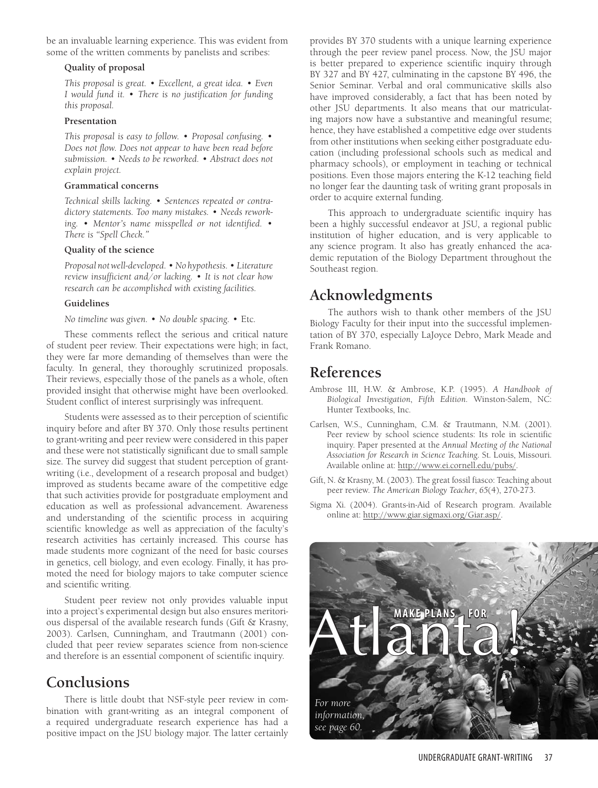be an invaluable learning experience. This was evident from some of the written comments by panelists and scribes:

#### **Quality of proposal**

*This proposal is great. • Excellent, a great idea. • Even I would fund it*. • *There is no justification for funding this proposal.*

### **Presentation**

*This proposal is easy to follow. • Proposal confusing. • Does not flow. Does not appear to have been read before submission. • Needs to be reworked. • Abstract does not explain project.* 

#### **Grammatical concerns**

*Technical skills lacking. • Sentences repeated or contradictory statements. Too many mistakes. • Needs reworking. • Mentor's name misspelled or not identified. • There is "Spell Check."* 

### **Quality of the science**

*Proposal not well-developed. • No hypothesis. • Literature review insufficient and/or lacking. • It is not clear how research can be accomplished with existing facilities.*

### **Guidelines**

*No timeline was given.* • *No double spacing.* • Etc.

These comments reflect the serious and critical nature of student peer review. Their expectations were high; in fact, they were far more demanding of themselves than were the faculty. In general, they thoroughly scrutinized proposals. Their reviews, especially those of the panels as a whole, often provided insight that otherwise might have been overlooked. Student conflict of interest surprisingly was infrequent.

Students were assessed as to their perception of scientific inquiry before and after BY 370. Only those results pertinent to grant-writing and peer review were considered in this paper and these were not statistically significant due to small sample size. The survey did suggest that student perception of grantwriting (i.e., development of a research proposal and budget) improved as students became aware of the competitive edge that such activities provide for postgraduate employment and education as well as professional advancement. Awareness and understanding of the scientific process in acquiring scientific knowledge as well as appreciation of the faculty's research activities has certainly increased. This course has made students more cognizant of the need for basic courses in genetics, cell biology, and even ecology. Finally, it has promoted the need for biology majors to take computer science and scientific writing.

Student peer review not only provides valuable input into a project's experimental design but also ensures meritorious dispersal of the available research funds (Gift & Krasny, 2003). Carlsen, Cunningham, and Trautmann (2001) concluded that peer review separates science from non-science and therefore is an essential component of scientific inquiry.

## **Conclusions**

There is little doubt that NSF-style peer review in combination with grant-writing as an integral component of a required undergraduate research experience has had a positive impact on the JSU biology major. The latter certainly

provides BY 370 students with a unique learning experience through the peer review panel process. Now, the JSU major is better prepared to experience scientific inquiry through BY 327 and BY 427, culminating in the capstone BY 496, the Senior Seminar. Verbal and oral communicative skills also have improved considerably, a fact that has been noted by other JSU departments. It also means that our matriculating majors now have a substantive and meaningful resume; hence, they have established a competitive edge over students from other institutions when seeking either postgraduate education (including professional schools such as medical and pharmacy schools), or employment in teaching or technical positions. Even those majors entering the K-12 teaching field no longer fear the daunting task of writing grant proposals in order to acquire external funding.

This approach to undergraduate scientific inquiry has been a highly successful endeavor at JSU, a regional public institution of higher education, and is very applicable to any science program. It also has greatly enhanced the academic reputation of the Biology Department throughout the Southeast region.

# **Acknowledgments**

The authors wish to thank other members of the JSU Biology Faculty for their input into the successful implementation of BY 370, especially LaJoyce Debro, Mark Meade and Frank Romano.

# **References**

- Ambrose III, H.W. & Ambrose, K.P. (1995). *A Handbook of Biological Investigation*, *Fifth Edition.* Winston-Salem, NC: Hunter Textbooks, Inc.
- Carlsen, W.S., Cunningham, C.M. & Trautmann, N.M. (2001). Peer review by school science students: Its role in scientific inquiry. Paper presented at the *Annual Meeting of the National Association for Research in Science Teaching*. St. Louis, Missouri. Available online at: http://www.ei.cornell.edu/pubs/.
- Gift, N. & Krasny, M. (2003). The great fossil fiasco: Teaching about peer review. *The American Biology Teacher*, *65*(4), 270-273.
- Sigma Xi. (2004). Grants-in-Aid of Research program. Available online at: http://www.giar.sigmaxi.org/Giar.asp/.